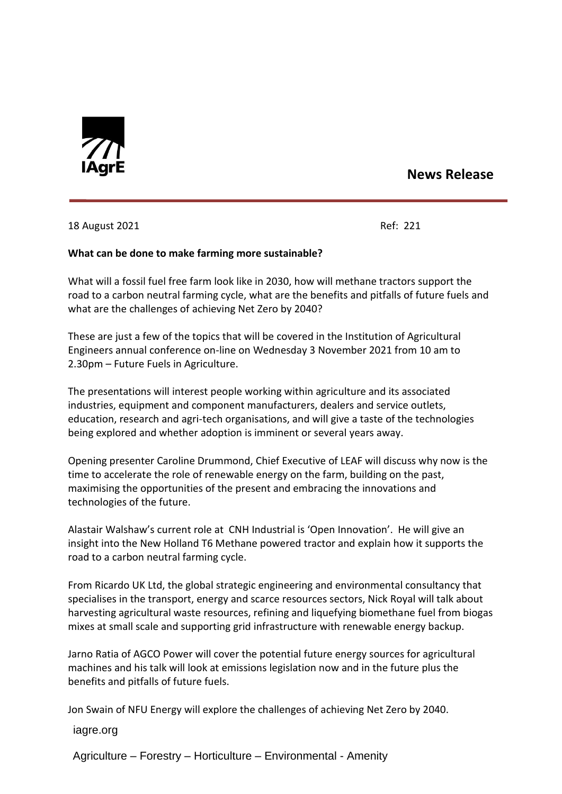

## **News Release**

18 August 2021 **Ref: 221** 

## **What can be done to make farming more sustainable?**

What will a fossil fuel free farm look like in 2030, how will methane tractors support the road to a carbon neutral farming cycle, what are the benefits and pitfalls of future fuels and what are the challenges of achieving Net Zero by 2040?

These are just a few of the topics that will be covered in the Institution of Agricultural Engineers annual conference on-line on Wednesday 3 November 2021 from 10 am to 2.30pm – Future Fuels in Agriculture.

The presentations will interest people working within agriculture and its associated industries, equipment and component manufacturers, dealers and service outlets, education, research and agri-tech organisations, and will give a taste of the technologies being explored and whether adoption is imminent or several years away.

Opening presenter Caroline Drummond, Chief Executive of LEAF will discuss why now is the time to accelerate the role of renewable energy on the farm, building on the past, maximising the opportunities of the present and embracing the innovations and technologies of the future.

Alastair Walshaw's current role at CNH Industrial is 'Open Innovation'. He will give an insight into the New Holland T6 Methane powered tractor and explain how it supports the road to a carbon neutral farming cycle.

From Ricardo UK Ltd, the global strategic engineering and environmental consultancy that specialises in the transport, energy and scarce resources sectors, Nick Royal will talk about harvesting agricultural waste resources, refining and liquefying biomethane fuel from biogas mixes at small scale and supporting grid infrastructure with renewable energy backup.

Jarno Ratia of AGCO Power will cover the potential future energy sources for agricultural machines and his talk will look at emissions legislation now and in the future plus the benefits and pitfalls of future fuels.

Jon Swain of NFU Energy will explore the challenges of achieving Net Zero by 2040.

iagre.org

Agriculture – Forestry – Horticulture – Environmental - Amenity